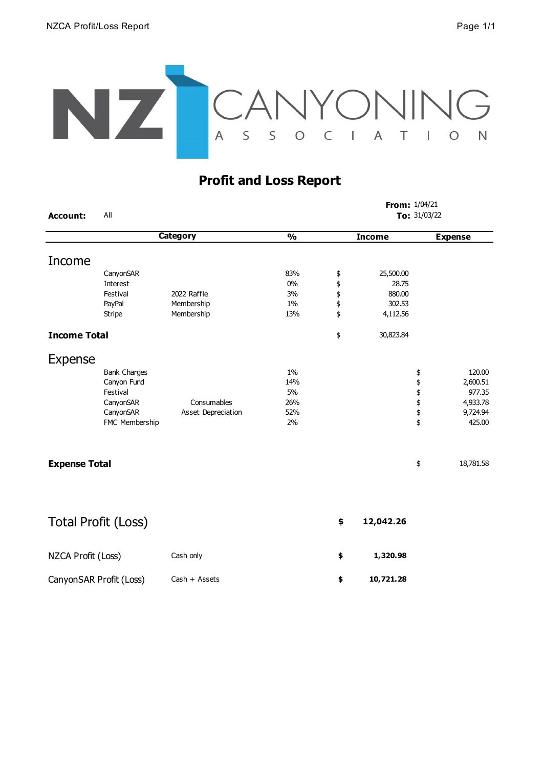

## **Profit and Loss Report**

| <b>Account:</b>         | All                  |                    |               |               | From: 1/04/21<br>To: 31/03/22 |           |                |  |
|-------------------------|----------------------|--------------------|---------------|---------------|-------------------------------|-----------|----------------|--|
|                         | <b>Category</b>      |                    | $\frac{0}{0}$ | <b>Income</b> |                               |           | <b>Expense</b> |  |
| Income                  |                      |                    |               |               |                               |           |                |  |
|                         |                      |                    |               |               |                               |           |                |  |
|                         | CanyonSAR            |                    | 83%           | \$            | 25,500.00                     |           |                |  |
|                         | Interest<br>Festival | 2022 Raffle        | 0%            | \$\$\$        | 28.75                         |           |                |  |
|                         | PayPal               | Membership         | 3%<br>1%      |               | 880.00<br>302.53              |           |                |  |
|                         | Stripe               | Membership         | 13%           | \$            | 4,112.56                      |           |                |  |
| <b>Income Total</b>     |                      |                    |               | \$            | 30,823.84                     |           |                |  |
|                         |                      |                    |               |               |                               |           |                |  |
| <b>Expense</b>          |                      |                    |               |               |                               |           |                |  |
|                         | <b>Bank Charges</b>  |                    | 1%            |               |                               | \$        | 120.00         |  |
|                         | Canyon Fund          |                    | 14%           |               |                               | \$\$\$\$  | 2,600.51       |  |
|                         | Festival             |                    | 5%            |               |                               |           | 977.35         |  |
|                         | CanyonSAR            | Consumables        | 26%           |               |                               |           | 4,933.78       |  |
|                         | CanyonSAR            | Asset Depreciation | 52%           |               |                               |           | 9,724.94       |  |
|                         | FMC Membership       |                    | 2%            |               |                               | \$        | 425.00         |  |
| <b>Expense Total</b>    |                      |                    |               |               | \$                            | 18,781.58 |                |  |
|                         |                      |                    |               |               |                               |           |                |  |
| Total Profit (Loss)     |                      |                    |               | \$            | 12,042.26                     |           |                |  |
| NZCA Profit (Loss)      |                      | Cash only          |               | \$            | 1,320.98                      |           |                |  |
| CanyonSAR Profit (Loss) |                      | Cash + Assets      |               | \$            | 10,721.28                     |           |                |  |